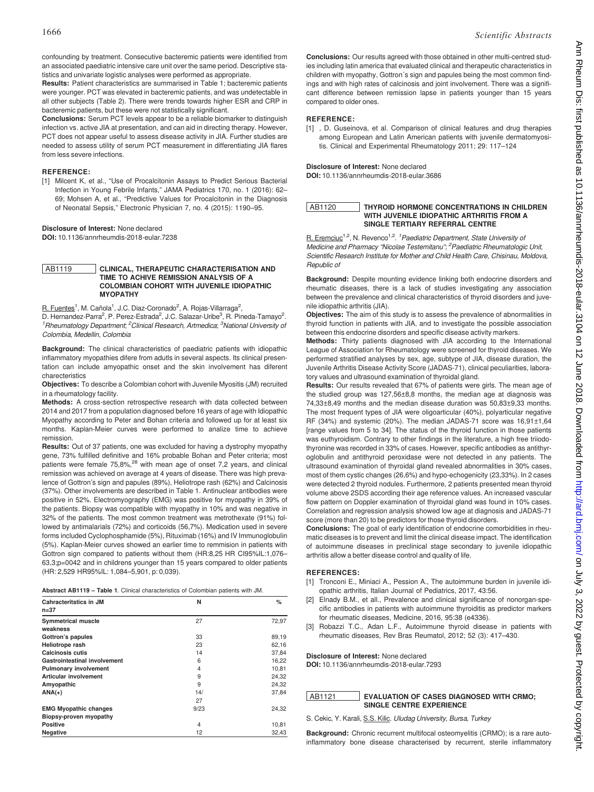confounding by treatment. Consecutive bacteremic patients were identified from an associated paediatric intensive care unit over the same period. Descriptive statistics and univariate logistic analyses were performed as appropriate.

Results: Patient characteristics are summarised in Table 1; bacteremic patients were younger. PCT was elevated in bacteremic patients, and was undetectable in all other subjects (Table 2). There were trends towards higher ESR and CRP in bacteremic patients, but these were not statistically significant.

Conclusions: Serum PCT levels appear to be a reliable biomarker to distinguish infection vs. active JIA at presentation, and can aid in directing therapy. However, PCT does not appear useful to assess disease activity in JIA. Further studies are needed to assess utility of serum PCT measurement in differentiating JIA flares from less severe infections.

# REFERENCE:

[1] Milcent K, et al., "Use of Procalcitonin Assays to Predict Serious Bacterial Infection in Young Febrile Infants," JAMA Pediatrics 170, no. 1 (2016): 62– 69; Mohsen A, et al., "Predictive Values for Procalcitonin in the Diagnosis of Neonatal Sepsis," Electronic Physician 7, no. 4 (2015): 1190–95.

#### Disclosure of Interest: None declared

DOI: 10.1136/annrheumdis-2018-eular.7238

### AB1119 CLINICAL, THERAPEUTIC CHARACTERISATION AND TIME TO ACHIVE REMISSION ANALYSIS OF A COLOMBIAN COHORT WITH JUVENILE IDIOPATHIC **MYOPATHY**

R. Fuentes<sup>1</sup>, M. Cañola<sup>1</sup>, J.C. Diaz-Coronado<sup>2</sup>, A. Rojas-Villarraga<sup>2</sup>,

D. Hernandez-Parra<sup>2</sup>, P. Perez-Estrada<sup>2</sup>, J.C. Salazar-Uribe<sup>3</sup>, R. Pineda-Tamayo<sup>2</sup>. <sup>1</sup> Rheumatology Department; <sup>2</sup> Clinical Research, Artmedica; <sup>3</sup> National University of Colombia, Medellin, Colombia

Background: The clinical characteristics of paediatric patients with idiopathic inflammatory myopathies difere from adutls in several aspects. Its clinical presentation can include amyopathic onset and the skin involvement has diferent charecteristics

Objectives: To describe a Colombian cohort with Juvenile Myositis (JM) recruited in a rheumatology facility.

Methods: A cross-section retrospective research with data collected between 2014 and 2017 from a population diagnosed before 16 years of age with Idiopathic Myopathy according to Peter and Bohan criteria and followed up for at least six months. Kaplan-Meier curves were performed to analize time to achieve remission.

Results: Out of 37 patients, one was excluded for having a dystrophy myopathy gene, 73% fulfilled definitive and 16% probable Bohan and Peter criteria; most patients were female 75,8%,<sup>28</sup> with mean age of onset 7,2 years, and clinical remission was achieved on average at 4 years of disease. There was high prevalence of Gottron's sign and papules (89%), Heliotrope rash (62%) and Calcinosis (37%). Other involvements are described in Table 1. Antinuclear antibodies were positive in 52%. Electromyography (EMG) was positive for myopathy in 39% of the patients. Biopsy was compatible with myopathy in 10% and was negative in 32% of the patients. The most common treatment was metrothexate (91%) followed by antimalarials (72%) and corticoids (56,7%). Medication used in severe forms included Cyclophosphamide (5%), Rituximab (16%) and IV Immunoglobulin (5%). Kaplan-Meier curves showed an earlier time to remmision in patients with Gottron sign compared to patients without them (HR:8,25 HR CI95%IL:1,076– 63,3;p=0042 and in childrens younger than 15 years compared to older patients (HR: 2,529 HR95%IL: 1,084–5,901, p: 0,039).

Abstract AB1119 – Table 1. Clinical characteristics of Colombian patients with JM.

| <b>Cahracteritstics in JM</b>       | N              | %     |
|-------------------------------------|----------------|-------|
| $n = 37$                            |                |       |
| <b>Symmetrical muscle</b>           | 27             | 72,97 |
| weakness                            |                |       |
| Gottron's papules                   | 33             | 89,19 |
| Heliotrope rash                     | 23             | 62,16 |
| Calcinosis cutis                    | 14             | 37.84 |
| <b>Gastrointestinal involvement</b> | 6              | 16,22 |
| <b>Pulmonary involvement</b>        | 4              | 10,81 |
| <b>Articular involvement</b>        | 9              | 24.32 |
| Amyopathic                          | 9              | 24,32 |
| $ANA(+)$                            | 14/            | 37.84 |
|                                     | 27             |       |
| <b>EMG Myopathic changes</b>        | 9/23           | 24,32 |
| Biopsy-proven myopathy              |                |       |
| <b>Positive</b>                     | $\overline{4}$ | 10,81 |
| <b>Negative</b>                     | 12             | 32.43 |

Conclusions: Our results agreed with those obtained in other multi-centred studies including latin america that evaluated clinical and therapeutic characteristics in children with myopathy, Gottron's sign and papules being the most common findings and with high rates of calcinosis and joint involvement. There was a significant difference between remission lapse in patients younger than 15 years compared to older ones.

# REFERENCE:

[1] , D. Guseinova, et al. Comparison of clinical features and drug therapies among European and Latin American patients with juvenile dermatomyositis. Clinical and Experimental Rheumatology 2011; 29: 117–124

# Disclosure of Interest: None declared

DOI: 10.1136/annrheumdis-2018-eular.3686

#### AB1120 THYROID HORMONE CONCENTRATIONS IN CHILDREN WITH JUVENILE IDIOPATHIC ARTHRITIS FROM A SINGLE TERTIARY REFERRAL CENTRE

R. Eremciuc<sup>1,2</sup>, N. Revenco<sup>1,2</sup>. <sup>1</sup> Paediatric Department, State University of Medicine and Pharmacy "Nicolae Testemitanu"; <sup>2</sup> Paediatric Rheumatologic Unit, Scientific Research Institute for Mother and Child Health Care, Chisinau, Moldova, Republic of

Background: Despite mounting evidence linking both endocrine disorders and rheumatic diseases, there is a lack of studies investigating any association between the prevalence and clinical characteristics of thyroid disorders and juvenile idiopathic arthritis (JIA).

Objectives: The aim of this study is to assess the prevalence of abnormalities in thyroid function in patients with JIA, and to investigate the possible association between this endocrine disorders and specific disease activity markers.

Methods: Thirty patients diagnosed with JIA according to the International League of Association for Rheumatology were screened for thyroid diseases. We performed stratified analyses by sex, age, subtype of JIA, disease duration, the Juvenile Arthritis Disease Activity Score (JADAS-71), clinical peculiarities, laboratory values and ultrasound examination of thyroidal gland.

Results: Our results revealed that 67% of patients were girls. The mean age of the studied group was 127,56±8,8 months, the median age at diagnosis was 74,33±8,49 months and the median disease duration was 50,83±9,33 months. The most frequent types of JIA were oligoarticular (40%), polyarticular negative RF (34%) and systemic (20%). The median JADAS-71 score was 16,91±1,64 [range values from 5 to 34]. The status of the thyroid function in those patients was euthyroidism. Contrary to other findings in the literature, a high free triiodothyronine was recorded in 33% of cases. However, specific antibodies as antithyroglobulin and antithyroid peroxidase were not detected in any patients. The ultrasound examination of thyroidal gland revealed abnormalities in 30% cases, most of them cystic changes (26,6%) and hypo-echogenicity (23,33%). In 2 cases were detected 2 thyroid nodules. Furthermore, 2 patients presented mean thyroid volume above 2SDS according their age reference values. An increased vascular flow pattern on Doppler examination of thyroidal gland was found in 10% cases. Correlation and regression analysis showed low age at diagnosis and JADAS-71 score (more than 20) to be predictors for those thyroid disorders.

Conclusions: The goal of early identification of endocrine comorbidities in rheumatic diseases is to prevent and limit the clinical disease impact. The identification of autoimmune diseases in preclinical stage secondary to juvenile idiopathic arthritis allow a better disease control and quality of life.

# REFERENCES:

- [1] Tronconi E., Miniaci A., Pession A., The autoimmune burden in juvenile idiopathic arthritis, Italian Journal of Pediatrics, 2017, 43:56.
- [2] Elnady B.M., et all., Prevalence and clinical significance of nonorgan-specific antibodies in patients with autoimmune thyroiditis as predictor markers for rheumatic diseases, Medicine, 2016, 95:38 (e4336).
- [3] Robazzi T.C., Adan L.F., Autoimmune thyroid disease in patients with rheumatic diseases, Rev Bras Reumatol, 2012; 52 (3): 417–430.

### Disclosure of Interest: None declared

DOI: 10.1136/annrheumdis-2018-eular.7293

### AB1121 EVALUATION OF CASES DIAGNOSED WITH CRMO; SINGLE CENTRE EXPERIENCE

S. Cekic, Y. Karali, S.S. Kilic. Uludag University, Bursa, Turkey

Background: Chronic recurrent multifocal osteomyelitis (CRMO); is a rare autoinflammatory bone disease characterised by recurrent, sterile inflammatory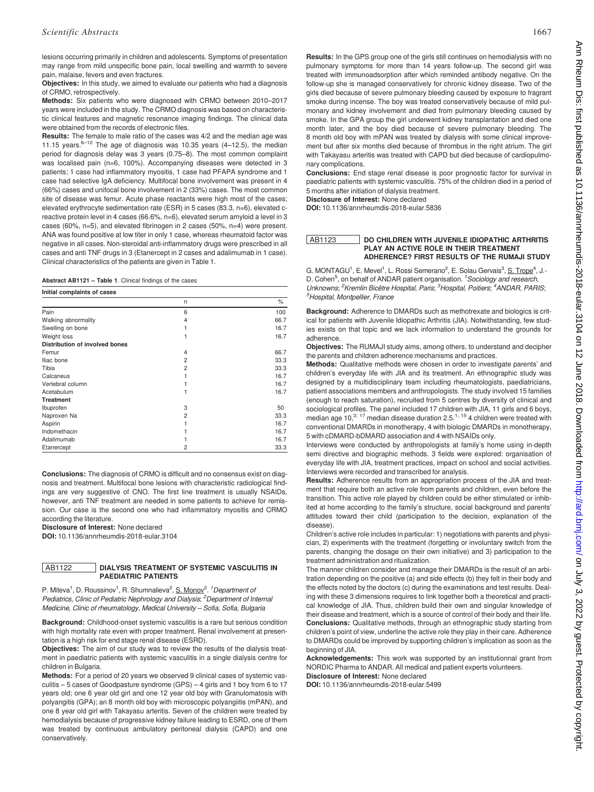lesions occurring primarily in children and adolescents. Symptoms of presentation may range from mild unspecific bone pain, local swelling and warmth to severe pain, malaise, fevers and even fractures.

Objectives: In this study, we aimed to evaluate our patients who had a diagnosis of CRMO, retrospectively.

Methods: Six patients who were diagnosed with CRMO between 2010–2017 years were included in the study. The CRMO diagnosis was based on characteristic clinical features and magnetic resonance imaging findings. The clinical data were obtained from the records of electronic files.

Results: The female to male ratio of the cases was 4/2 and the median age was 11.15 years. $6-12$  The age of diagnosis was 10.35 years (4-12.5), the median period for diagnosis delay was 3 years (0.75–8). The most common complaint was localised pain (n=6, 100%). Accompanying diseases were detected in 3 patients; 1 case had inflammatory myositis, 1 case had PFAPA syndrome and 1 case had selective IgA deficiency. Multifocal bone involvement was present in 4 (66%) cases and unifocal bone involvement in 2 (33%) cases. The most common site of disease was femur. Acute phase reactants were high most of the cases; elevated erythrocyte sedimentation rate (ESR) in 5 cases (83.3, n=6), elevated creactive protein level in 4 cases (66.6%, n=6), elevated serum amyloid a level in 3 cases (60%, n=5), and elevated fibrinogen in 2 cases (50%, n=4) were present. ANA was found positive at low titer in only 1 case, whereas rheumatoid factor was negative in all cases. Non-steroidal anti-inflammatory drugs were prescribed in all cases and anti TNF drugs in 3 (Etanercept in 2 cases and adalimumab in 1 case). Clinical characteristics of the patients are given in Table 1.

Abstract AB1121 – Table 1. Clinical findings of the cases

| Initial complaints of cases           |                |      |  |  |
|---------------------------------------|----------------|------|--|--|
|                                       | n              | %    |  |  |
| Pain                                  | 6              | 100  |  |  |
| Walking abnormality                   | 4              | 66.7 |  |  |
| Swelling on bone                      |                | 16.7 |  |  |
| Weight loss                           |                | 16.7 |  |  |
| <b>Distribution of involved bones</b> |                |      |  |  |
| Femur                                 | 4              | 66.7 |  |  |
| Iliac bone                            | $\overline{2}$ | 33.3 |  |  |
| Tibia                                 | $\overline{c}$ | 33.3 |  |  |
| Calcaneus                             |                | 16.7 |  |  |
| Vertebral column                      |                | 16.7 |  |  |
| Acetabulum                            |                | 16.7 |  |  |
| <b>Treatment</b>                      |                |      |  |  |
| Ibuprofen                             | 3              | 50   |  |  |
| Naproxen Na                           | 2              | 33.3 |  |  |
| Aspirin                               |                | 16.7 |  |  |
| Indomethacin                          |                | 16.7 |  |  |
| Adalimumab                            |                | 16.7 |  |  |
| Etanercept                            | $\overline{c}$ | 33.3 |  |  |

Conclusions: The diagnosis of CRMO is difficult and no consensus exist on diagnosis and treatment. Multifocal bone lesions with characteristic radiological findings are very suggestive of CNO. The first line treatment is usually NSAIDs, however, anti TNF treatment are needed in some patients to achieve for remission. Our case is the second one who had inflammatory myositis and CRMO according the literature.

Disclosure of Interest: None declared

DOI: 10.1136/annrheumdis-2018-eular.3104

#### AB1122 DIALYSIS TREATMENT OF SYSTEMIC VASCULITIS IN PAEDIATRIC PATIENTS

P. Miteva<sup>1</sup>, D. Roussinov<sup>1</sup>, R. Shumnalieva<sup>2</sup>, S. Monov<sup>2, 1</sup>Department of Pediatrics, Clinic of Pediatric Nephrology and Dialysis; <sup>2</sup>Department of Internal Medicine, Clinic of rheumatology, Medical University – Sofia, Sofia, Bulgaria

Background: Childhood-onset systemic vasculitis is a rare but serious condition with high mortality rate even with proper treatment. Renal involvement at presentation is a high risk for end stage renal disease (ESRD).

Objectives: The aim of our study was to review the results of the dialysis treatment in paediatric patients with systemic vasculitis in a single dialysis centre for children in Bulgaria.

Methods: For a period of 20 years we observed 9 clinical cases of systemic vasculitis – 5 cases of Goodpasture syndrome (GPS) – 4 girls and 1 boy from 6 to 17 years old; one 6 year old girl and one 12 year old boy with Granulomatosis with polyangitis (GPA); an 8 month old boy with microscopic polyangiitis (mPAN), and one 8 year old girl with Takayasu arteritis. Seven of the children were treated by hemodialysis because of progressive kidney failure leading to ESRD, one of them was treated by continuous ambulatory peritoneal dialysis (CAPD) and one conservatively.

Results: In the GPS group one of the girls still continues on hemodialysis with no pulmonary symptoms for more than 14 years follow-up. The second girl was treated with immunoadsorption after which reminded antibody negative. On the follow-up she is managed conservatively for chronic kidney disease. Two of the girls died because of severe pulmonary bleeding caused by exposure to fragrant smoke during incense. The boy was treated conservatively because of mild pulmonary and kidney involvement and died from pulmonary bleeding caused by smoke. In the GPA group the girl underwent kidney transplantation and died one month later, and the boy died because of severe pulmonary bleeding. The 8 month old boy with mPAN was treated by dialysis with some clinical improvement but after six months died because of thrombus in the right atrium. The girl with Takayasu arteritis was treated with CAPD but died because of cardiopulmonary complications.

Conclusions: End stage renal disease is poor prognostic factor for survival in paediatric patients with systemic vasculitis. 75% of the children died in a period of 5 months after initiation of dialysis treatment.

Disclosure of Interest: None declared

DOI: 10.1136/annrheumdis-2018-eular.5836

# AB1123 DO CHILDREN WITH JUVENILE IDIOPATHIC ARTHRITIS PLAY AN ACTIVE ROLE IN THEIR TREATMENT ADHERENCE? FIRST RESULTS OF THE RUMAJI STUDY

G. MONTAGU<sup>1</sup>, E. Mevel<sup>1</sup>, L. Rossi Semerano<sup>2</sup>, E. Solau Gervais<sup>3</sup>, S. Trope<sup>4</sup>, J. D. Cohen<sup>5</sup>, on behalf of ANDAR patient organisation. <sup>1</sup> Sociology and research, Unknowns; <sup>2</sup> Kremlin Bicêtre Hospital, Paris; <sup>3</sup> Hospital, Poitiers; <sup>4</sup> ANDAR, PARIS; 5 Hospital, Montpellier, France

Background: Adherence to DMARDs such as methotrexate and biologics is critical for patients with Juvenile Idiopathic Arthritis (JIA). Notwithstanding, few studies exists on that topic and we lack information to understand the grounds for adherence.

Objectives: The RUMAJI study aims, among others, to understand and decipher the parents and children adherence mechanisms and practices.

Methods: Qualitative methods were chosen in order to investigate parents' and children's everyday life with JIA and its treatment. An ethnographic study was designed by a multidisciplinary team including rheumatologists, paediatricians, patient associations members and anthropologists. The study involved 15 families (enough to reach saturation), recruited from 5 centres by diversity of clinical and sociological profiles. The panel included 17 children with JIA, 11 girls and 6 boys, median age  $10^{3;17}$  median disease duration 2.5.<sup>1; 15</sup> 4 children were treated with conventional DMARDs in monotherapy, 4 with biologic DMARDs in monotherapy, 5 with cDMARD-bDMARD association and 4 with NSAIDs only.

Interviews were conducted by anthropologists at family's home using in-depth semi directive and biographic methods. 3 fields were explored: organisation of everyday life with JIA, treatment practices, impact on school and social activities. Interviews were recorded and transcribed for analysis.

Results: Adherence results from an appropriation process of the JIA and treatment that require both an active role from parents and children, even before the transition. This active role played by children could be either stimulated or inhibited at home according to the family's structure, social background and parents' attitudes toward their child (participation to the decision, explanation of the disease).

Children's active role includes in particular: 1) negotiations with parents and physician, 2) experiments with the treatment (forgetting or involuntary switch from the parents, changing the dosage on their own initiative) and 3) participation to the treatment administration and ritualization.

The manner children consider and manage their DMARDs is the result of an arbitration depending on the positive (a) and side effects (b) they felt in their body and the effects noted by the doctors (c) during the examinations and test results. Dealing with these 3 dimensions requires to link together both a theoretical and practical knowledge of JIA. Thus, children build their own and singular knowledge of their disease and treatment, which is a source of control of their body and their life. Conclusions: Qualitative methods, through an ethnographic study starting from children's point of view, underline the active role they play in their care. Adherence to DMARDs could be improved by supporting children's implication as soon as the beginning of JIA.

Acknowledgements: This work was supported by an institutionnal grant from NORDIC Pharma to ANDAR. All medical and patient experts volunteers. Disclosure of Interest: None declared

DOI: 10.1136/annrheumdis-2018-eular.5499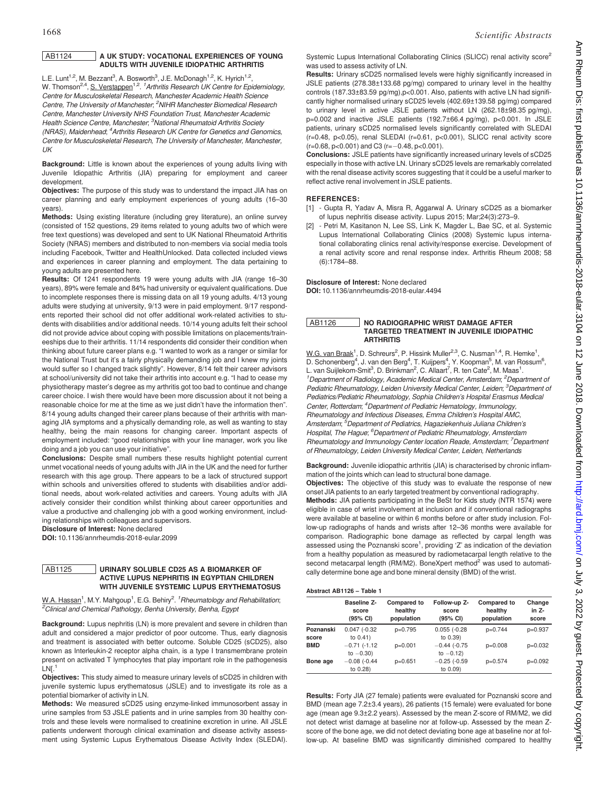# AB1124 A UK STUDY: VOCATIONAL EXPERIENCES OF YOUNG ADULTS WITH JUVENILE IDIOPATHIC ARTHRITIS

L.E. Lunt<sup>1,2</sup>, M. Bezzant<sup>3</sup>, A. Bosworth<sup>3</sup>, J.E. McDonagh<sup>1,2</sup>, K. Hyrich<sup>1,2</sup>, W. Thomson<sup>2,4</sup>, S. Verstappen<sup>1,2</sup>. <sup>1</sup>Arthritis Research UK Centre for Epidemiology, Centre for Musculoskeletal Research, Manchester Academic Health Science Centre, The University of Manchester, <sup>2</sup>NIHR Manchester Biomedical Research Centre, Manchester University NHS Foundation Trust, Manchester Academic Health Science Centre, Manchester, <sup>3</sup>National Rheumatoid Arthritis Society (NRAS), Maidenhead; <sup>4</sup> Arthritis Research UK Centre for Genetics and Genomics, Centre for Musculoskeletal Research, The University of Manchester, Manchester,  $\overline{U}$ 

**Background:** Little is known about the experiences of young adults living with Juvenile Idiopathic Arthritis (JIA) preparing for employment and career development.

Objectives: The purpose of this study was to understand the impact JIA has on career planning and early employment experiences of young adults (16–30 years).

Methods: Using existing literature (including grey literature), an online survey (consisted of 152 questions, 29 items related to young adults two of which were free text questions) was developed and sent to UK National Rheumatoid Arthritis Society (NRAS) members and distributed to non-members via social media tools including Facebook, Twitter and HealthUnlocked. Data collected included views and experiences in career planning and employment. The data pertaining to young adults are presented here.

Results: Of 1241 respondents 19 were young adults with JIA (range 16–30 years), 89% were female and 84% had university or equivalent qualifications. Due to incomplete responses there is missing data on all 19 young adults. 4/13 young adults were studying at university, 9/13 were in paid employment. 9/17 respondents reported their school did not offer additional work-related activities to students with disabilities and/or additional needs. 10/14 young adults felt their school did not provide advice about coping with possible limitations on placements/traineeships due to their arthritis. 11/14 respondents did consider their condition when thinking about future career plans e.g. "I wanted to work as a ranger or similar for the National Trust but it's a fairly physically demanding job and I knew my joints would suffer so I changed track slightly". However, 8/14 felt their career advisors at school/university did not take their arthritis into account e.g. "I had to cease my physiotherapy master's degree as my arthritis got too bad to continue and change career choice. I wish there would have been more discussion about it not being a reasonable choice for me at the time as we just didn't have the information then". 8/14 young adults changed their career plans because of their arthritis with managing JIA symptoms and a physically demanding role, as well as wanting to stay healthy, being the main reasons for changing career. Important aspects of employment included: "good relationships with your line manager, work you like doing and a job you can use your initiative".

Conclusions: Despite small numbers these results highlight potential current unmet vocational needs of young adults with JIA in the UK and the need for further research with this age group. There appears to be a lack of structured support within schools and universities offered to students with disabilities and/or additional needs, about work-related activities and careers. Young adults with JIA actively consider their condition whilst thinking about career opportunities and value a productive and challenging job with a good working environment, including relationships with colleagues and supervisors.

Disclosure of Interest: None declared

DOI: 10.1136/annrheumdis-2018-eular.2099

### AB1125 URINARY SOLUBLE CD25 AS A BIOMARKER OF ACTIVE LUPUS NEPHRITIS IN EGYPTIAN CHILDREN WITH JUVENILE SYSTEMIC LUPUS ERYTHEMATOSUS

W.A. Hassan<sup>1</sup>, M.Y. Mahgoup<sup>1</sup>, E.G. Behiry<sup>2</sup>. <sup>1</sup>Rheumatology and Rehabilitation; <sup>2</sup>Clinical and Chemical Pathology, Benha University, Benha, Egypt

Background: Lupus nephritis (LN) is more prevalent and severe in children than adult and considered a major predictor of poor outcome. Thus, early diagnosis and treatment is associated with better outcome. Soluble CD25 (sCD25), also known as Interleukin-2 receptor alpha chain, is a type I transmembrane protein present on activated T lymphocytes that play important role in the pathogenesis  $1$  N<sub>I</sub> $<sup>1</sup>$ </sup>

Objectives: This study aimed to measure urinary levels of sCD25 in children with juvenile systemic lupus erythematosus (JSLE) and to investigate its role as a potential biomarker of activity in LN.

Methods: We measured sCD25 using enzyme-linked immunosorbent assay in urine samples from 53 JSLE patients and in urine samples from 30 healthy controls and these levels were normalised to creatinine excretion in urine. All JSLE patients underwent thorough clinical examination and disease activity assessment using Systemic Lupus Erythematous Disease Activity Index (SLEDAI).

Systemic Lupus International Collaborating Clinics (SLICC) renal activity score<sup>2</sup> was used to assess activity of LN.

Results: Urinary sCD25 normalised levels were highly significantly increased in JSLE patients (278.38±133.68 pg/mg) compared to urinary level in the healthy controls (187.33±83.59 pg/mg),p<0.001. Also, patients with active LN had significantly higher normalised urinary sCD25 levels (402.69±139.58 pg/mg) compared to urinary level in active JSLE patients without LN (262.18±98.35 pg/mg), p=0.002 and inactive JSLE patients (192.7±66.4 pg/mg), p<0.001. In JSLE patients, urinary sCD25 normalised levels significantly correlated with SLEDAI (r=0.48, p<0.05), renal SLEDAI (r=0.61, p<0.001), SLICC renal activity score  $(r=0.68, p<0.001)$  and C3  $(r=-0.48, p<0.001)$ .

Conclusions: JSLE patients have significantly increased urinary levels of sCD25 especially in those with active LN. Urinary sCD25 levels are remarkably correlated with the renal disease activity scores suggesting that it could be a useful marker to reflect active renal involvement in JSLE patients.

### REFERENCES:

[1] - Gupta R, Yadav A, Misra R, Aggarwal A. Urinary sCD25 as a biomarker of lupus nephritis disease activity. Lupus 2015; Mar;24(3):273–9.

- Petri M, Kasitanon N, Lee SS, Link K, Magder L, Bae SC, et al. Systemic Lupus International Collaborating Clinics (2008) Systemic lupus international collaborating clinics renal activity/response exercise. Development of a renal activity score and renal response index. Arthritis Rheum 2008; 58 (6):1784–88.

Disclosure of Interest: None declared

DOI: 10.1136/annrheumdis-2018-eular.4494

# AB1126 NO RADIOGRAPHIC WRIST DAMAGE AFTER TARGETED TREATMENT IN JUVENILE IDIOPATHIC **ARTHRITIS**

W.G. van Braak<sup>1</sup>, D. Schreurs<sup>2</sup>, P. Hissink Muller<sup>2,3</sup>, C. Nusman<sup>1,4</sup>, R. Hemke<sup>1</sup>, D. Schonenberg<sup>4</sup>, J. van den Berg<sup>4</sup>, T. Kuijpers<sup>4</sup>, Y. Koopman<sup>5</sup>, M. van Rossum<sup>6</sup>, L. van Suijlekom-Smit<sup>3</sup>, D. Brinkman<sup>2</sup>, C. Allaart<sup>7</sup>, R. ten Cate<sup>2</sup>, M. Maas<sup>1</sup>. <sup>1</sup> Department of Radiology, Academic Medical Center, Amsterdam; <sup>2</sup> Department of Pediatric Rheumatology, Leiden University Medical Center, Leiden; <sup>3</sup>Department of Pediatrics/Pediatric Rheumatology, Sophia Children's Hospital Erasmus Medical Center, Rotterdam; <sup>4</sup>Department of Pediatric Hematology, Immunology, Rheumatology and Infectious Diseases, Emma Children's Hospital AMC, Amsterdam; <sup>5</sup>Department of Pediatrics, Hagaziekenhuis Juliana Children's Hospital, The Hague; <sup>6</sup>Department of Pediatric Rheumatology, Amsterdam Rheumatology and Immunology Center location Reade, Amsterdam; <sup>7</sup>Departmen of Rheumatology, Leiden University Medical Center, Leiden, Netherlands

Background: Juvenile idiopathic arthritis (JIA) is characterised by chronic inflammation of the joints which can lead to structural bone damage.

Objectives: The objective of this study was to evaluate the response of new onset JIA patients to an early targeted treatment by conventional radiography. Methods: JIA patients participating in the BeSt for Kids study (NTR 1574) were eligible in case of wrist involvement at inclusion and if conventional radiographs were available at baseline or within 6 months before or after study inclusion. Follow-up radiographs of hands and wrists after 12–36 months were available for comparison. Radiographic bone damage as reflected by carpal length was assessed using the Poznanski score<sup>1</sup>, providing 'Z' as indication of the deviation from a healthy population as measured by radiometacarpal length relative to the second metacarpal length (RM/M2). BoneXpert method<sup>2</sup> was used to automatically determine bone age and bone mineral density (BMD) of the wrist.

#### Abstract AB1126 – Table 1

|            | <b>Baseline Z-</b><br>score<br>(95% CI) | <b>Compared to</b><br>healthy<br>population | Follow-up Z-<br>score<br>$(95% \text{ Cl})$ | Compared to<br>healthy<br>population | Change<br>in Z-<br>score |
|------------|-----------------------------------------|---------------------------------------------|---------------------------------------------|--------------------------------------|--------------------------|
| Poznanski  | $0.047(-0.32)$                          | $p=0.795$                                   | $0.055$ $(-0.28)$                           | $p=0.744$                            | $p=0.937$                |
| score      | to $0.41$ )                             |                                             | to 0.39)                                    |                                      |                          |
| <b>BMD</b> | $-0.71$ (-1.12)                         | $p=0.001$                                   | $-0.44$ (-0.75                              | $p=0.008$                            | $p=0.032$                |
|            | to $-0.30$ )                            |                                             | to $-0.12$ )                                |                                      |                          |
| Bone age   | $-0.08$ (-0.44                          | $p=0.651$                                   | $-0.25$ (-0.59                              | $p=0.574$                            | $p=0.092$                |
|            | to 0.28)                                |                                             | to 0.09)                                    |                                      |                          |

Results: Forty JIA (27 female) patients were evaluated for Poznanski score and BMD (mean age 7.2±3.4 years), 26 patients (15 female) were evaluated for bone age (mean age 9.3±2.2 years). Assessed by the mean Z-score of RM/M2, we did not detect wrist damage at baseline nor at follow-up. Assessed by the mean Zscore of the bone age, we did not detect deviating bone age at baseline nor at follow-up. At baseline BMD was significantly diminished compared to healthy